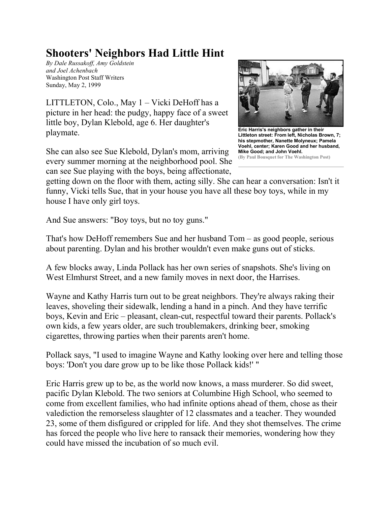## **Shooters' Neighbors Had Little Hint**

*By Dale Russakoff, Amy Goldstein and Joel Achenbach* Washington Post Staff Writers Sunday, May 2, 1999

LITTLETON, Colo., May 1 – Vicki DeHoff has a picture in her head: the pudgy, happy face of a sweet little boy, Dylan Klebold, age 6. Her daughter's playmate.

She can also see Sue Klebold, Dylan's mom, arriving every summer morning at the neighborhood pool. She can see Sue playing with the boys, being affectionate,



**Eric Harris's neighbors gather in their Littleton street: From left, Nicholas Brown, 7; his stepmother, Nanette Molyneux; Pamela Voehl, center; Karen Good and her husband, Mike Good; and John Voehl. (By Paul Bousquet for The Washington Post)**

getting down on the floor with them, acting silly. She can hear a conversation: Isn't it funny, Vicki tells Sue, that in your house you have all these boy toys, while in my house I have only girl toys.

And Sue answers: "Boy toys, but no toy guns."

That's how DeHoff remembers Sue and her husband Tom – as good people, serious about parenting. Dylan and his brother wouldn't even make guns out of sticks.

A few blocks away, Linda Pollack has her own series of snapshots. She's living on West Elmhurst Street, and a new family moves in next door, the Harrises.

Wayne and Kathy Harris turn out to be great neighbors. They're always raking their leaves, shoveling their sidewalk, lending a hand in a pinch. And they have terrific boys, Kevin and Eric – pleasant, clean-cut, respectful toward their parents. Pollack's own kids, a few years older, are such troublemakers, drinking beer, smoking cigarettes, throwing parties when their parents aren't home.

Pollack says, "I used to imagine Wayne and Kathy looking over here and telling those boys: 'Don't you dare grow up to be like those Pollack kids!' "

Eric Harris grew up to be, as the world now knows, a mass murderer. So did sweet, pacific Dylan Klebold. The two seniors at Columbine High School, who seemed to come from excellent families, who had infinite options ahead of them, chose as their valediction the remorseless slaughter of 12 classmates and a teacher. They wounded 23, some of them disfigured or crippled for life. And they shot themselves. The crime has forced the people who live here to ransack their memories, wondering how they could have missed the incubation of so much evil.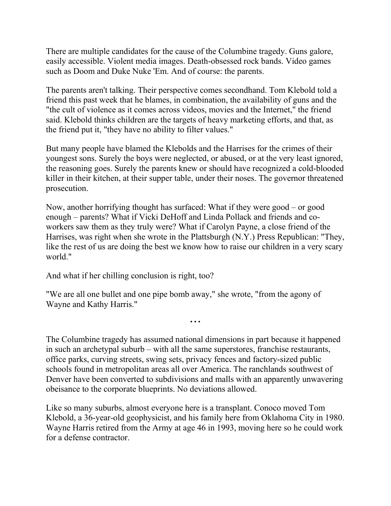There are multiple candidates for the cause of the Columbine tragedy. Guns galore, easily accessible. Violent media images. Death-obsessed rock bands. Video games such as Doom and Duke Nuke 'Em. And of course: the parents.

The parents aren't talking. Their perspective comes secondhand. Tom Klebold told a friend this past week that he blames, in combination, the availability of guns and the "the cult of violence as it comes across videos, movies and the Internet," the friend said. Klebold thinks children are the targets of heavy marketing efforts, and that, as the friend put it, "they have no ability to filter values."

But many people have blamed the Klebolds and the Harrises for the crimes of their youngest sons. Surely the boys were neglected, or abused, or at the very least ignored, the reasoning goes. Surely the parents knew or should have recognized a cold-blooded killer in their kitchen, at their supper table, under their noses. The governor threatened prosecution.

Now, another horrifying thought has surfaced: What if they were good – or good enough – parents? What if Vicki DeHoff and Linda Pollack and friends and coworkers saw them as they truly were? What if Carolyn Payne, a close friend of the Harrises, was right when she wrote in the Plattsburgh (N.Y.) Press Republican: "They, like the rest of us are doing the best we know how to raise our children in a very scary world."

And what if her chilling conclusion is right, too?

"We are all one bullet and one pipe bomb away," she wrote, "from the agony of Wayne and Kathy Harris."

The Columbine tragedy has assumed national dimensions in part because it happened in such an archetypal suburb – with all the same superstores, franchise restaurants, office parks, curving streets, swing sets, privacy fences and factory-sized public schools found in metropolitan areas all over America. The ranchlands southwest of Denver have been converted to subdivisions and malls with an apparently unwavering obeisance to the corporate blueprints. No deviations allowed.

• • •

Like so many suburbs, almost everyone here is a transplant. Conoco moved Tom Klebold, a 36-year-old geophysicist, and his family here from Oklahoma City in 1980. Wayne Harris retired from the Army at age 46 in 1993, moving here so he could work for a defense contractor.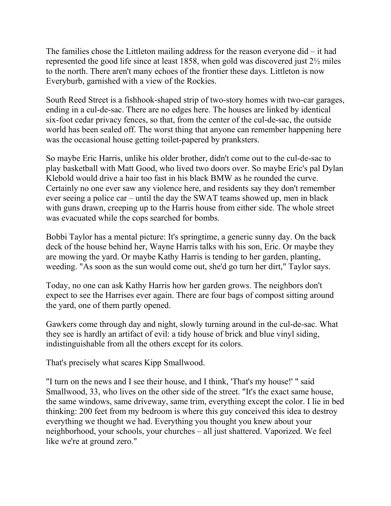The families chose the Littleton mailing address for the reason everyone did – it had represented the good life since at least 1858, when gold was discovered just 2½ miles to the north. There aren't many echoes of the frontier these days. Littleton is now Everyburb, garnished with a view of the Rockies.

South Reed Street is a fishhook-shaped strip of two-story homes with two-car garages, ending in a cul-de-sac. There are no edges here. The houses are linked by identical six-foot cedar privacy fences, so that, from the center of the cul-de-sac, the outside world has been sealed off. The worst thing that anyone can remember happening here was the occasional house getting toilet-papered by pranksters.

So maybe Eric Harris, unlike his older brother, didn't come out to the cul-de-sac to play basketball with Matt Good, who lived two doors over. So maybe Eric's pal Dylan Klebold would drive a hair too fast in his black BMW as he rounded the curve. Certainly no one ever saw any violence here, and residents say they don't remember ever seeing a police car – until the day the SWAT teams showed up, men in black with guns drawn, creeping up to the Harris house from either side. The whole street was evacuated while the cops searched for bombs.

Bobbi Taylor has a mental picture: It's springtime, a generic sunny day. On the back deck of the house behind her, Wayne Harris talks with his son, Eric. Or maybe they are mowing the yard. Or maybe Kathy Harris is tending to her garden, planting, weeding. "As soon as the sun would come out, she'd go turn her dirt," Taylor says.

Today, no one can ask Kathy Harris how her garden grows. The neighbors don't expect to see the Harrises ever again. There are four bags of compost sitting around the yard, one of them partly opened.

Gawkers come through day and night, slowly turning around in the cul-de-sac. What they see is hardly an artifact of evil: a tidy house of brick and blue vinyl siding, indistinguishable from all the others except for its colors.

That's precisely what scares Kipp Smallwood.

"I turn on the news and I see their house, and I think, 'That's my house!' " said Smallwood, 33, who lives on the other side of the street. "It's the exact same house, the same windows, same driveway, same trim, everything except the color. I lie in bed thinking: 200 feet from my bedroom is where this guy conceived this idea to destroy everything we thought we had. Everything you thought you knew about your neighborhood, your schools, your churches – all just shattered. Vaporized. We feel like we're at ground zero."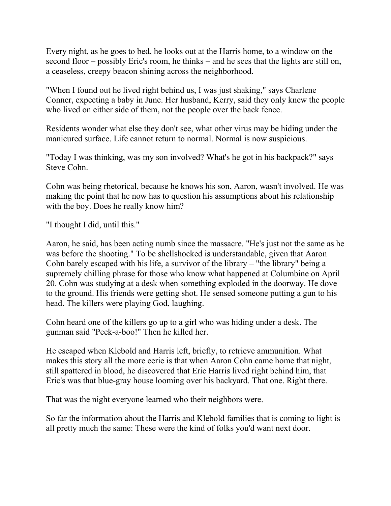Every night, as he goes to bed, he looks out at the Harris home, to a window on the second floor – possibly Eric's room, he thinks – and he sees that the lights are still on, a ceaseless, creepy beacon shining across the neighborhood.

"When I found out he lived right behind us, I was just shaking," says Charlene Conner, expecting a baby in June. Her husband, Kerry, said they only knew the people who lived on either side of them, not the people over the back fence.

Residents wonder what else they don't see, what other virus may be hiding under the manicured surface. Life cannot return to normal. Normal is now suspicious.

"Today I was thinking, was my son involved? What's he got in his backpack?" says Steve Cohn.

Cohn was being rhetorical, because he knows his son, Aaron, wasn't involved. He was making the point that he now has to question his assumptions about his relationship with the boy. Does he really know him?

"I thought I did, until this."

Aaron, he said, has been acting numb since the massacre. "He's just not the same as he was before the shooting." To be shellshocked is understandable, given that Aaron Cohn barely escaped with his life, a survivor of the library – "the library" being a supremely chilling phrase for those who know what happened at Columbine on April 20. Cohn was studying at a desk when something exploded in the doorway. He dove to the ground. His friends were getting shot. He sensed someone putting a gun to his head. The killers were playing God, laughing.

Cohn heard one of the killers go up to a girl who was hiding under a desk. The gunman said "Peek-a-boo!" Then he killed her.

He escaped when Klebold and Harris left, briefly, to retrieve ammunition. What makes this story all the more eerie is that when Aaron Cohn came home that night, still spattered in blood, he discovered that Eric Harris lived right behind him, that Eric's was that blue-gray house looming over his backyard. That one. Right there.

That was the night everyone learned who their neighbors were.

So far the information about the Harris and Klebold families that is coming to light is all pretty much the same: These were the kind of folks you'd want next door.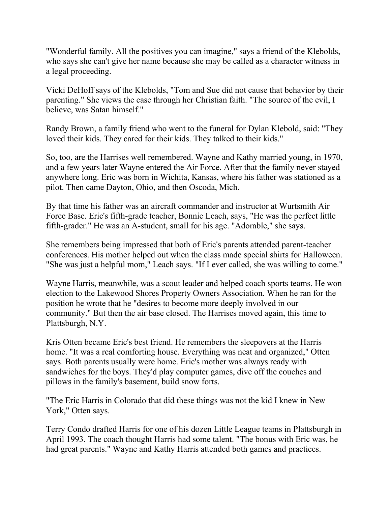"Wonderful family. All the positives you can imagine," says a friend of the Klebolds, who says she can't give her name because she may be called as a character witness in a legal proceeding.

Vicki DeHoff says of the Klebolds, "Tom and Sue did not cause that behavior by their parenting." She views the case through her Christian faith. "The source of the evil, I believe, was Satan himself."

Randy Brown, a family friend who went to the funeral for Dylan Klebold, said: "They loved their kids. They cared for their kids. They talked to their kids."

So, too, are the Harrises well remembered. Wayne and Kathy married young, in 1970, and a few years later Wayne entered the Air Force. After that the family never stayed anywhere long. Eric was born in Wichita, Kansas, where his father was stationed as a pilot. Then came Dayton, Ohio, and then Oscoda, Mich.

By that time his father was an aircraft commander and instructor at Wurtsmith Air Force Base. Eric's fifth-grade teacher, Bonnie Leach, says, "He was the perfect little fifth-grader." He was an A-student, small for his age. "Adorable," she says.

She remembers being impressed that both of Eric's parents attended parent-teacher conferences. His mother helped out when the class made special shirts for Halloween. "She was just a helpful mom," Leach says. "If I ever called, she was willing to come."

Wayne Harris, meanwhile, was a scout leader and helped coach sports teams. He won election to the Lakewood Shores Property Owners Association. When he ran for the position he wrote that he "desires to become more deeply involved in our community." But then the air base closed. The Harrises moved again, this time to Plattsburgh, N.Y.

Kris Otten became Eric's best friend. He remembers the sleepovers at the Harris home. "It was a real comforting house. Everything was neat and organized," Otten says. Both parents usually were home. Eric's mother was always ready with sandwiches for the boys. They'd play computer games, dive off the couches and pillows in the family's basement, build snow forts.

"The Eric Harris in Colorado that did these things was not the kid I knew in New York," Otten says.

Terry Condo drafted Harris for one of his dozen Little League teams in Plattsburgh in April 1993. The coach thought Harris had some talent. "The bonus with Eric was, he had great parents." Wayne and Kathy Harris attended both games and practices.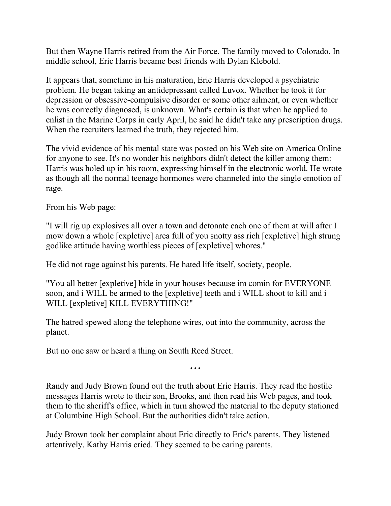But then Wayne Harris retired from the Air Force. The family moved to Colorado. In middle school, Eric Harris became best friends with Dylan Klebold.

It appears that, sometime in his maturation, Eric Harris developed a psychiatric problem. He began taking an antidepressant called Luvox. Whether he took it for depression or obsessive-compulsive disorder or some other ailment, or even whether he was correctly diagnosed, is unknown. What's certain is that when he applied to enlist in the Marine Corps in early April, he said he didn't take any prescription drugs. When the recruiters learned the truth, they rejected him.

The vivid evidence of his mental state was posted on his Web site on America Online for anyone to see. It's no wonder his neighbors didn't detect the killer among them: Harris was holed up in his room, expressing himself in the electronic world. He wrote as though all the normal teenage hormones were channeled into the single emotion of rage.

From his Web page:

"I will rig up explosives all over a town and detonate each one of them at will after I mow down a whole [expletive] area full of you snotty ass rich [expletive] high strung godlike attitude having worthless pieces of [expletive] whores."

He did not rage against his parents. He hated life itself, society, people.

"You all better [expletive] hide in your houses because im comin for EVERYONE soon, and i WILL be armed to the [expletive] teeth and i WILL shoot to kill and i WILL [expletive] KILL EVERYTHING!"

The hatred spewed along the telephone wires, out into the community, across the planet.

But no one saw or heard a thing on South Reed Street.

• • •

Randy and Judy Brown found out the truth about Eric Harris. They read the hostile messages Harris wrote to their son, Brooks, and then read his Web pages, and took them to the sheriff's office, which in turn showed the material to the deputy stationed at Columbine High School. But the authorities didn't take action.

Judy Brown took her complaint about Eric directly to Eric's parents. They listened attentively. Kathy Harris cried. They seemed to be caring parents.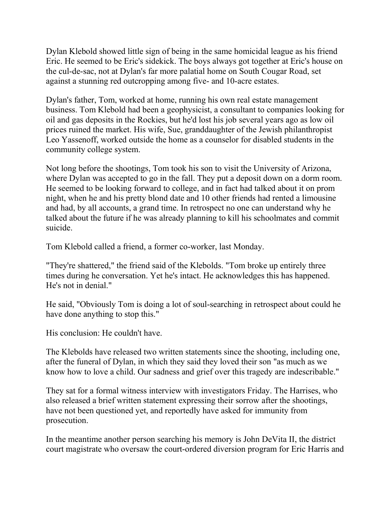Dylan Klebold showed little sign of being in the same homicidal league as his friend Eric. He seemed to be Eric's sidekick. The boys always got together at Eric's house on the cul-de-sac, not at Dylan's far more palatial home on South Cougar Road, set against a stunning red outcropping among five- and 10-acre estates.

Dylan's father, Tom, worked at home, running his own real estate management business. Tom Klebold had been a geophysicist, a consultant to companies looking for oil and gas deposits in the Rockies, but he'd lost his job several years ago as low oil prices ruined the market. His wife, Sue, granddaughter of the Jewish philanthropist Leo Yassenoff, worked outside the home as a counselor for disabled students in the community college system.

Not long before the shootings, Tom took his son to visit the University of Arizona, where Dylan was accepted to go in the fall. They put a deposit down on a dorm room. He seemed to be looking forward to college, and in fact had talked about it on prom night, when he and his pretty blond date and 10 other friends had rented a limousine and had, by all accounts, a grand time. In retrospect no one can understand why he talked about the future if he was already planning to kill his schoolmates and commit suicide.

Tom Klebold called a friend, a former co-worker, last Monday.

"They're shattered," the friend said of the Klebolds. "Tom broke up entirely three times during he conversation. Yet he's intact. He acknowledges this has happened. He's not in denial."

He said, "Obviously Tom is doing a lot of soul-searching in retrospect about could he have done anything to stop this."

His conclusion: He couldn't have.

The Klebolds have released two written statements since the shooting, including one, after the funeral of Dylan, in which they said they loved their son "as much as we know how to love a child. Our sadness and grief over this tragedy are indescribable."

They sat for a formal witness interview with investigators Friday. The Harrises, who also released a brief written statement expressing their sorrow after the shootings, have not been questioned yet, and reportedly have asked for immunity from prosecution.

In the meantime another person searching his memory is John DeVita II, the district court magistrate who oversaw the court-ordered diversion program for Eric Harris and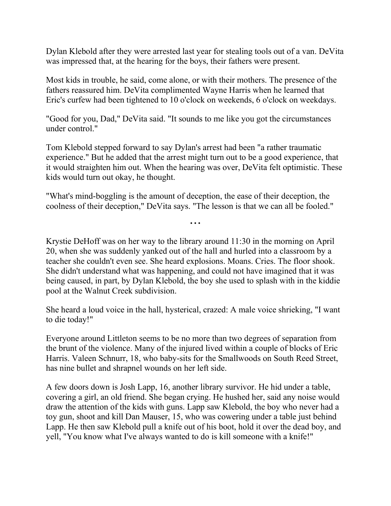Dylan Klebold after they were arrested last year for stealing tools out of a van. DeVita was impressed that, at the hearing for the boys, their fathers were present.

Most kids in trouble, he said, come alone, or with their mothers. The presence of the fathers reassured him. DeVita complimented Wayne Harris when he learned that Eric's curfew had been tightened to 10 o'clock on weekends, 6 o'clock on weekdays.

"Good for you, Dad," DeVita said. "It sounds to me like you got the circumstances under control."

Tom Klebold stepped forward to say Dylan's arrest had been "a rather traumatic experience." But he added that the arrest might turn out to be a good experience, that it would straighten him out. When the hearing was over, DeVita felt optimistic. These kids would turn out okay, he thought.

"What's mind-boggling is the amount of deception, the ease of their deception, the coolness of their deception," DeVita says. "The lesson is that we can all be fooled."

• • •

Krystie DeHoff was on her way to the library around 11:30 in the morning on April 20, when she was suddenly yanked out of the hall and hurled into a classroom by a teacher she couldn't even see. She heard explosions. Moans. Cries. The floor shook. She didn't understand what was happening, and could not have imagined that it was being caused, in part, by Dylan Klebold, the boy she used to splash with in the kiddie pool at the Walnut Creek subdivision.

She heard a loud voice in the hall, hysterical, crazed: A male voice shrieking, "I want to die today!"

Everyone around Littleton seems to be no more than two degrees of separation from the brunt of the violence. Many of the injured lived within a couple of blocks of Eric Harris. Valeen Schnurr, 18, who baby-sits for the Smallwoods on South Reed Street, has nine bullet and shrapnel wounds on her left side.

A few doors down is Josh Lapp, 16, another library survivor. He hid under a table, covering a girl, an old friend. She began crying. He hushed her, said any noise would draw the attention of the kids with guns. Lapp saw Klebold, the boy who never had a toy gun, shoot and kill Dan Mauser, 15, who was cowering under a table just behind Lapp. He then saw Klebold pull a knife out of his boot, hold it over the dead boy, and yell, "You know what I've always wanted to do is kill someone with a knife!"